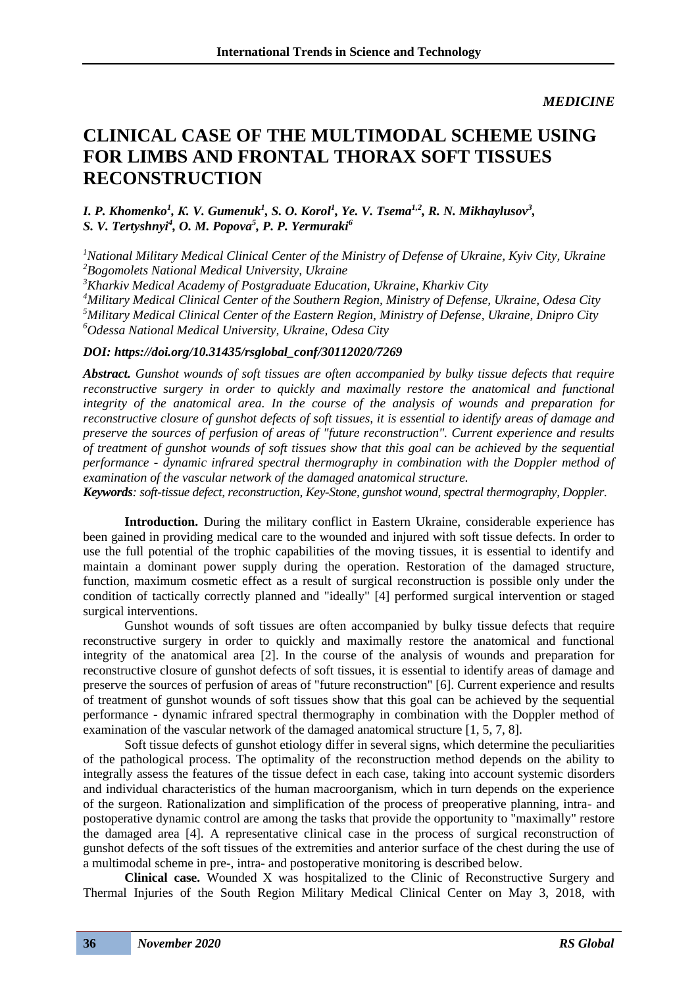## *MEDICINE*

## **CLINICAL CASE OF THE MULTIMODAL SCHEME USING FOR LIMBS AND FRONTAL THORAX SOFT TISSUES RECONSTRUCTION**

*I. P. Khomenko<sup>1</sup> , К. V. Gumenuk<sup>1</sup> , S. O. Korol<sup>1</sup> , Ye. V. Tsema1,2 , R. N. Mikhaylusov<sup>3</sup> , S. V. Tertyshnyi<sup>4</sup> , O. M. Popova<sup>5</sup> , P. P. Yermuraki<sup>6</sup>*

*<sup>1</sup>National Military Medical Clinical Center of the Ministry of Defense of Ukraine, Kyiv City, Ukraine <sup>2</sup>Bogomolets National Medical University, Ukraine <sup>3</sup>Kharkiv Medical Academy of Postgraduate Education, Ukraine, Kharkiv City*

*<sup>4</sup>Military Medical Clinical Center of the Southern Region, Ministry of Defense, Ukraine, Odesa City <sup>5</sup>Military Medical Clinical Center of the Eastern Region, Ministry of Defense, Ukraine, Dnipro City <sup>6</sup>Odessa National Medical University, Ukraine, Odesa City*

## *DOI: https://doi.org/10.31435/rsglobal\_conf/30112020/7269*

*Abstract. Gunshot wounds of soft tissues are often accompanied by bulky tissue defects that require reconstructive surgery in order to quickly and maximally restore the anatomical and functional integrity of the anatomical area. In the course of the analysis of wounds and preparation for reconstructive closure of gunshot defects of soft tissues, it is essential to identify areas of damage and preserve the sources of perfusion of areas of "future reconstruction". Current experience and results of treatment of gunshot wounds of soft tissues show that this goal can be achieved by the sequential performance - dynamic infrared spectral thermography in combination with the Doppler method of examination of the vascular network of the damaged anatomical structure.*

*Keywords: soft-tissue defect, reconstruction, Key-Stone, gunshot wound, spectral thermography, Doppler.*

Introduction. During the military conflict in Eastern Ukraine, considerable experience has been gained in providing medical care to the wounded and injured with soft tissue defects. In order to use the full potential of the trophic capabilities of the moving tissues, it is essential to identify and maintain a dominant power supply during the operation. Restoration of the damaged structure, function, maximum cosmetic effect as a result of surgical reconstruction is possible only under the condition of tactically correctly planned and "ideally" [4] performed surgical intervention or staged surgical interventions.

Gunshot wounds of soft tissues are often accompanied by bulky tissue defects that require reconstructive surgery in order to quickly and maximally restore the anatomical and functional integrity of the anatomical area [2]. In the course of the analysis of wounds and preparation for reconstructive closure of gunshot defects of soft tissues, it is essential to identify areas of damage and preserve the sources of perfusion of areas of "future reconstruction" [6]. Current experience and results of treatment of gunshot wounds of soft tissues show that this goal can be achieved by the sequential performance - dynamic infrared spectral thermography in combination with the Doppler method of examination of the vascular network of the damaged anatomical structure [1, 5, 7, 8].

Soft tissue defects of gunshot etiology differ in several signs, which determine the peculiarities of the pathological process. The optimality of the reconstruction method depends on the ability to integrally assess the features of the tissue defect in each case, taking into account systemic disorders and individual characteristics of the human macroorganism, which in turn depends on the experience of the surgeon. Rationalization and simplification of the process of preoperative planning, intra- and postoperative dynamic control are among the tasks that provide the opportunity to "maximally" restore the damaged area [4]. A representative clinical case in the process of surgical reconstruction of gunshot defects of the soft tissues of the extremities and anterior surface of the chest during the use of a multimodal scheme in pre-, intra- and postoperative monitoring is described below.

**Clinical case.** Wounded X was hospitalized to the Clinic of Reconstructive Surgery and Thermal Injuries of the South Region Military Medical Clinical Center on May 3, 2018, with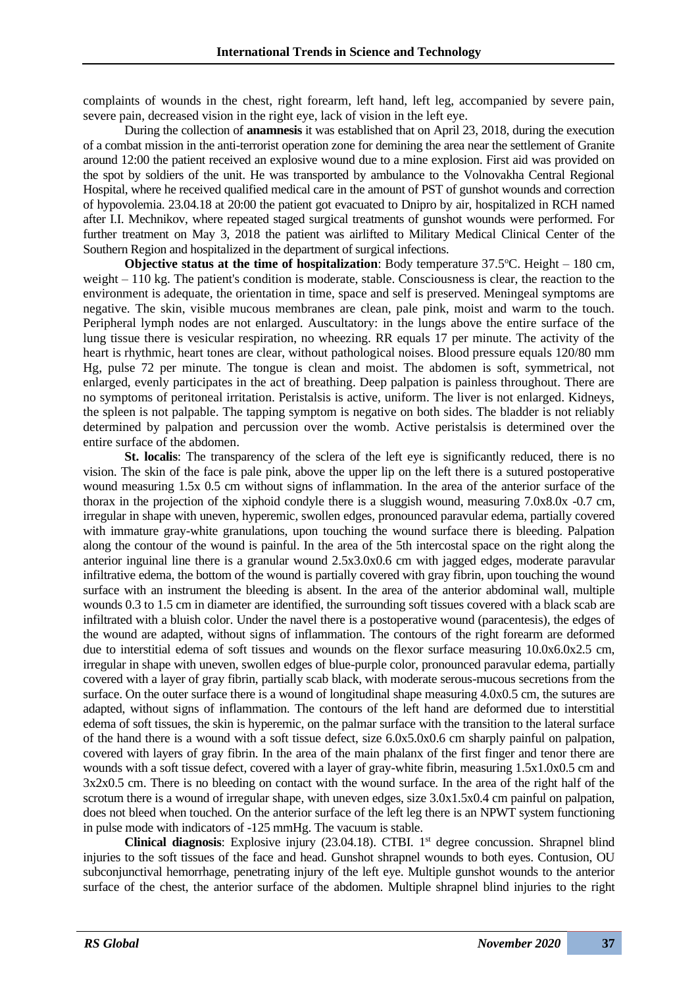complaints of wounds in the chest, right forearm, left hand, left leg, accompanied by severe pain, severe pain, decreased vision in the right eye, lack of vision in the left eye.

During the collection of **anamnesis** it was established that on April 23, 2018, during the execution of a combat mission in the anti-terrorist operation zone for demining the area near the settlement of Granite around 12:00 the patient received an explosive wound due to a mine explosion. First aid was provided on the spot by soldiers of the unit. He was transported by ambulance to the Volnovakha Central Regional Hospital, where he received qualified medical care in the amount of PST of gunshot wounds and correction of hypovolemia. 23.04.18 at 20:00 the patient got evacuated to Dnipro by air, hospitalized in RCH named after I.I. Mechnikov, where repeated staged surgical treatments of gunshot wounds were performed. For further treatment on May 3, 2018 the patient was airlifted to Military Medical Clinical Center of the Southern Region and hospitalized in the department of surgical infections.

**Objective status at the time of hospitalization**: Body temperature 37.5<sup>o</sup>C. Height – 180 cm, weight – 110 kg. The patient's condition is moderate, stable. Consciousness is clear, the reaction to the environment is adequate, the orientation in time, space and self is preserved. Meningeal symptoms are negative. The skin, visible mucous membranes are clean, pale pink, moist and warm to the touch. Peripheral lymph nodes are not enlarged. Auscultatory: in the lungs above the entire surface of the lung tissue there is vesicular respiration, no wheezing. RR equals 17 per minute. The activity of the heart is rhythmic, heart tones are clear, without pathological noises. Blood pressure equals 120/80 mm Hg, pulse 72 per minute. The tongue is clean and moist. The abdomen is soft, symmetrical, not enlarged, evenly participates in the act of breathing. Deep palpation is painless throughout. There are no symptoms of peritoneal irritation. Peristalsis is active, uniform. The liver is not enlarged. Kidneys, the spleen is not palpable. The tapping symptom is negative on both sides. The bladder is not reliably determined by palpation and percussion over the womb. Active peristalsis is determined over the entire surface of the abdomen.

**St. localis:** The transparency of the sclera of the left eye is significantly reduced, there is no vision. The skin of the face is pale pink, above the upper lip on the left there is a sutured postoperative wound measuring 1.5x 0.5 cm without signs of inflammation. In the area of the anterior surface of the thorax in the projection of the xiphoid condyle there is a sluggish wound, measuring 7.0x8.0x -0.7 cm, irregular in shape with uneven, hyperemic, swollen edges, pronounced paravular edema, partially covered with immature gray-white granulations, upon touching the wound surface there is bleeding. Palpation along the contour of the wound is painful. In the area of the 5th intercostal space on the right along the anterior inguinal line there is a granular wound 2.5x3.0x0.6 cm with jagged edges, moderate paravular infiltrative edema, the bottom of the wound is partially covered with gray fibrin, upon touching the wound surface with an instrument the bleeding is absent. In the area of the anterior abdominal wall, multiple wounds 0.3 to 1.5 cm in diameter are identified, the surrounding soft tissues covered with a black scab are infiltrated with a bluish color. Under the navel there is a postoperative wound (paracentesis), the edges of the wound are adapted, without signs of inflammation. The contours of the right forearm are deformed due to interstitial edema of soft tissues and wounds on the flexor surface measuring 10.0x6.0x2.5 cm, irregular in shape with uneven, swollen edges of blue-purple color, pronounced paravular edema, partially covered with a layer of gray fibrin, partially scab black, with moderate serous-mucous secretions from the surface. On the outer surface there is a wound of longitudinal shape measuring 4.0x0.5 cm, the sutures are adapted, without signs of inflammation. The contours of the left hand are deformed due to interstitial edema of soft tissues, the skin is hyperemic, on the palmar surface with the transition to the lateral surface of the hand there is a wound with a soft tissue defect, size  $6.0x5.0x0.6$  cm sharply painful on palpation, covered with layers of gray fibrin. In the area of the main phalanx of the first finger and tenor there are wounds with a soft tissue defect, covered with a layer of gray-white fibrin, measuring 1.5x1.0x0.5 cm and 3x2x0.5 cm. There is no bleeding on contact with the wound surface. In the area of the right half of the scrotum there is a wound of irregular shape, with uneven edges, size  $3.0x1.5x0.4$  cm painful on palpation, does not bleed when touched. On the anterior surface of the left leg there is an NPWT system functioning in pulse mode with indicators of -125 mmHg. The vacuum is stable.

**Clinical diagnosis**: Explosive injury (23.04.18). CTBI. 1<sup>st</sup> degree concussion. Shrapnel blind injuries to the soft tissues of the face and head. Gunshot shrapnel wounds to both eyes. Contusion, OU subconjunctival hemorrhage, penetrating injury of the left eye. Multiple gunshot wounds to the anterior surface of the chest, the anterior surface of the abdomen. Multiple shrapnel blind injuries to the right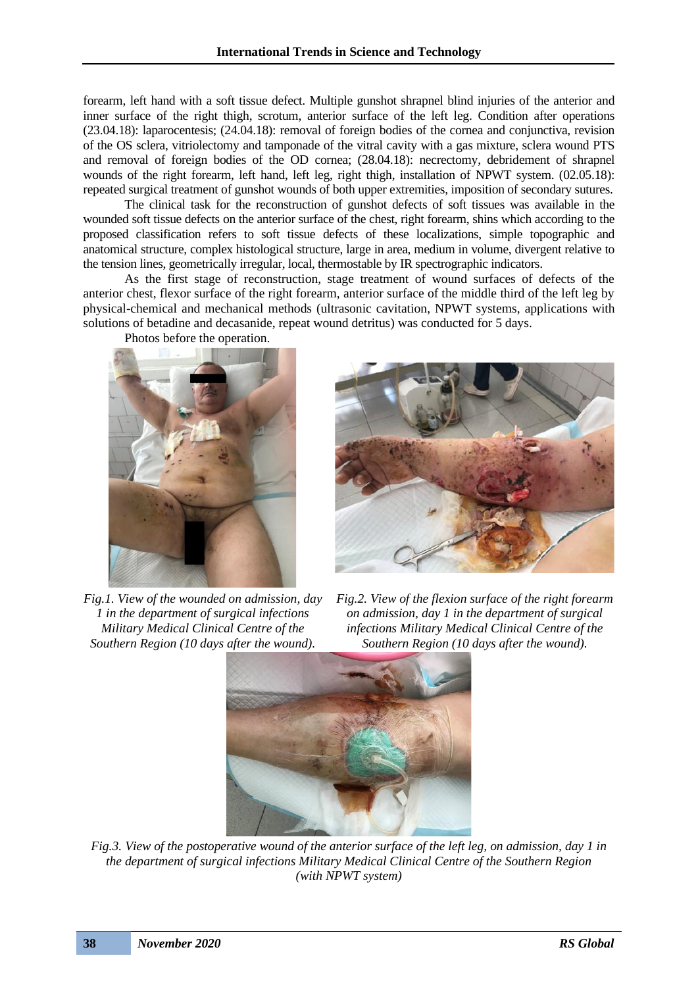forearm, left hand with a soft tissue defect. Multiple gunshot shrapnel blind injuries of the anterior and inner surface of the right thigh, scrotum, anterior surface of the left leg. Condition after operations (23.04.18): laparocentesis; (24.04.18): removal of foreign bodies of the cornea and conjunctiva, revision of the OS sclera, vitriolectomy and tamponade of the vitral cavity with a gas mixture, sclera wound PTS and removal of foreign bodies of the OD cornea; (28.04.18): necrectomy, debridement of shrapnel wounds of the right forearm, left hand, left leg, right thigh, installation of NPWT system. (02.05.18): repeated surgical treatment of gunshot wounds of both upper extremities, imposition of secondary sutures.

The clinical task for the reconstruction of gunshot defects of soft tissues was available in the wounded soft tissue defects on the anterior surface of the chest, right forearm, shins which according to the proposed classification refers to soft tissue defects of these localizations, simple topographic and anatomical structure, complex histological structure, large in area, medium in volume, divergent relative to the tension lines, geometrically irregular, local, thermostable by IR spectrographic indicators.

As the first stage of reconstruction, stage treatment of wound surfaces of defects of the anterior chest, flexor surface of the right forearm, anterior surface of the middle third of the left leg by physical-chemical and mechanical methods (ultrasonic cavitation, NPWT systems, applications with solutions of betadine and decasanide, repeat wound detritus) was conducted for 5 days.



*Fig.1. View of the wounded on admission, day 1 in the department of surgical infections Military Medical Clinical Centre of the* 

Photos before the operation.

*Fig.2. View of the flexion surface of the right forearm on admission, day 1 in the department of surgical infections Military Medical Clinical Centre of the Southern Region (10 days after the wound).*



*Fig.3. View of the postoperative wound of the anterior surface of the left leg, on admission, day 1 in the department of surgical infections Military Medical Clinical Centre of the Southern Region (with NPWT system)*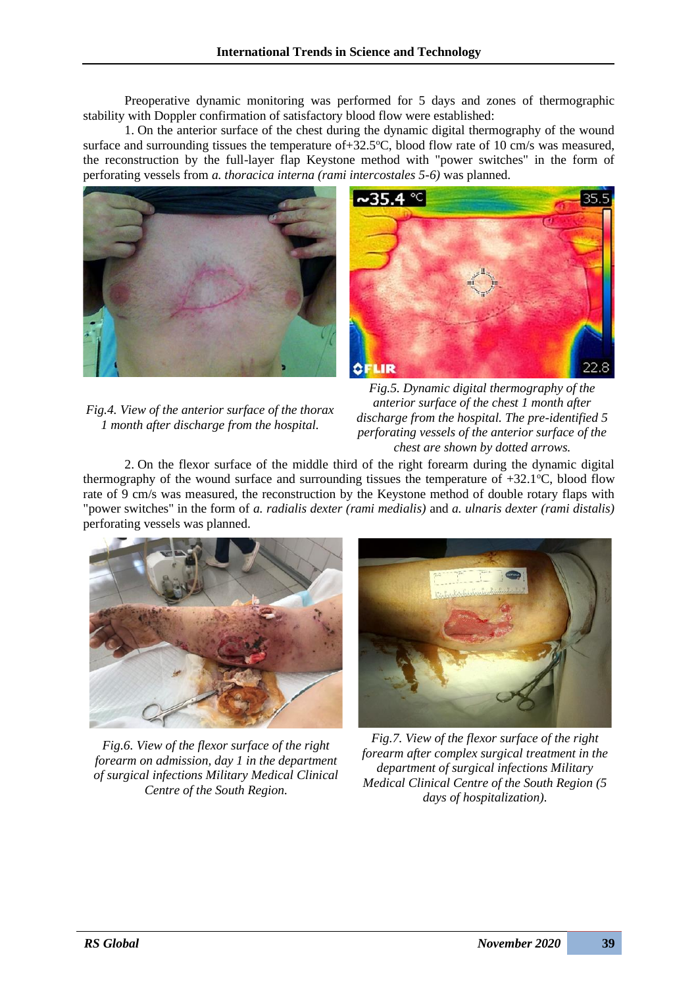Preoperative dynamic monitoring was performed for 5 days and zones of thermographic stability with Doppler confirmation of satisfactory blood flow were established:

1. On the anterior surface of the chest during the dynamic digital thermography of the wound surface and surrounding tissues the temperature of +32.5 $\degree$ C, blood flow rate of 10 cm/s was measured, the reconstruction by the full-layer flap Keystone method with "power switches" in the form of perforating vessels from *a. thoracica interna (rami intercostales 5-6)* was planned.





*Fig.4. View of the anterior surface of the thorax 1 month after discharge from the hospital.*

*Fig.5. Dynamic digital thermography of the anterior surface of the chest 1 month after discharge from the hospital. The pre-identified 5 perforating vessels of the anterior surface of the chest are shown by dotted arrows.*

2. On the flexor surface of the middle third of the right forearm during the dynamic digital thermography of the wound surface and surrounding tissues the temperature of  $+32.1^{\circ}$ C, blood flow rate of 9 cm/s was measured, the reconstruction by the Keystone method of double rotary flaps with "power switches" in the form of *a. radialis dexter (rami medialis)* and *a. ulnaris dexter (rami distalis)* perforating vessels was planned.



*Fig.6. View of the flexor surface of the right forearm on admission, day 1 in the department of surgical infections Military Medical Clinical Centre of the South Region.*



*Fig.7. View of the flexor surface of the right forearm after complex surgical treatment in the department of surgical infections Military Medical Clinical Centre of the South Region (5 days of hospitalization).*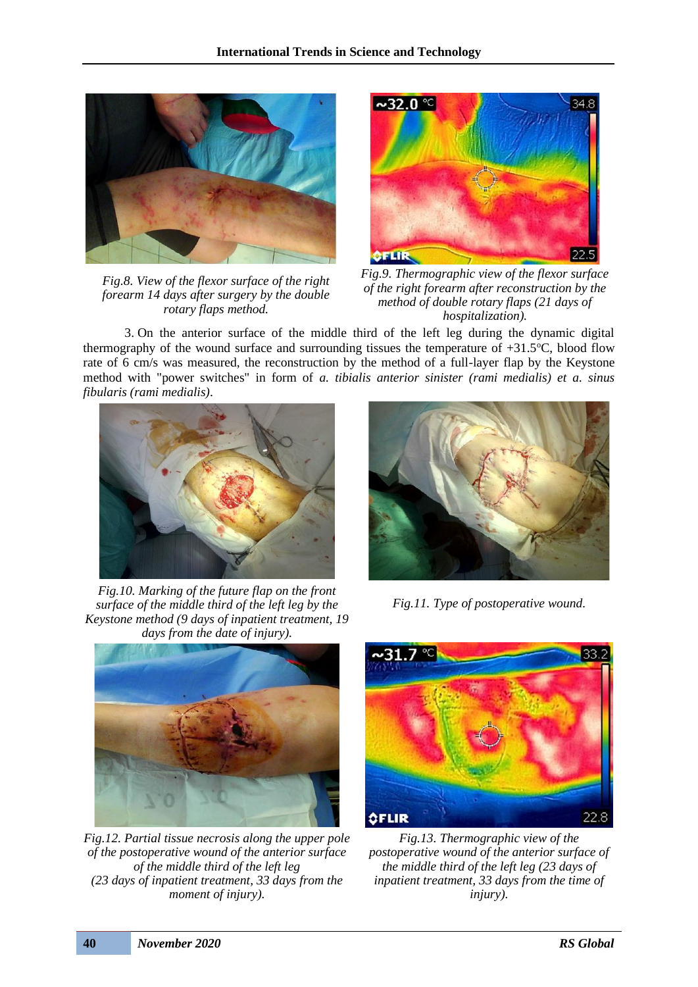

*Fig.8. View of the flexor surface of the right forearm 14 days after surgery by the double rotary flaps method.*



*Fig.9. Thermographic view of the flexor surface of the right forearm after reconstruction by the method of double rotary flaps (21 days of hospitalization).*

3. On the anterior surface of the middle third of the left leg during the dynamic digital thermography of the wound surface and surrounding tissues the temperature of  $+31.5^{\circ}$ C, blood flow rate of 6 cm/s was measured, the reconstruction by the method of a full-layer flap by the Keystone method with "power switches" in form of *a. tibialis anterior sinister (rami medialis) et a. sinus fibularis (rami medialis)*.



*Fig.10. Marking of the future flap on the front surface of the middle third of the left leg by the Keystone method (9 days of inpatient treatment, 19 days from the date of injury).*



*Fig.12. Partial tissue necrosis along the upper pole of the postoperative wound of the anterior surface of the middle third of the left leg (23 days of inpatient treatment, 33 days from the moment of injury).*



*Fig.11. Type of postoperative wound.*



*Fig.13. Thermographic view of the postoperative wound of the anterior surface of the middle third of the left leg (23 days of inpatient treatment, 33 days from the time of injury).*